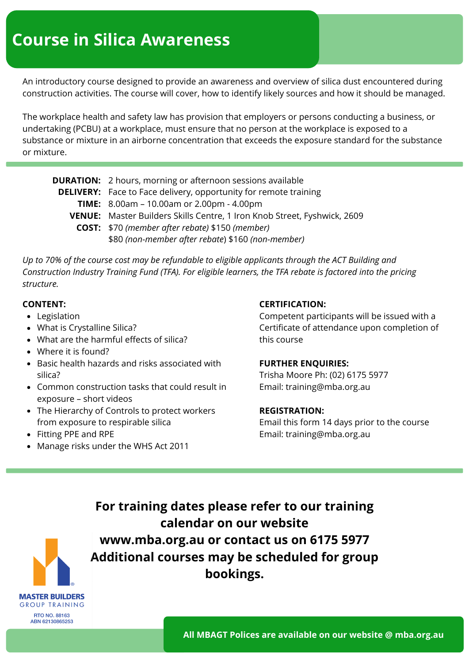An introductory course designed to provide an awareness and overview of silica dust encountered during construction activities. The course will cover, how to identify likely sources and how it should be managed.

The workplace health and safety law has provision that employers or persons conducting a business, or undertaking (PCBU) at a workplace, must ensure that no person at the workplace is exposed to a substance or mixture in an airborne concentration that exceeds the exposure standard for the substance or mixture.

| <b>DURATION:</b> 2 hours, morning or afternoon sessions available               |
|---------------------------------------------------------------------------------|
| <b>DELIVERY:</b> Face to Face delivery, opportunity for remote training         |
| TIME: 8.00am - 10.00am or 2.00pm - 4.00pm                                       |
| <b>VENUE:</b> Master Builders Skills Centre, 1 Iron Knob Street, Fyshwick, 2609 |
| <b>COST:</b> \$70 (member after rebate) \$150 (member)                          |
| \$80 (non-member after rebate) \$160 (non-member)                               |

*Up to 70% of the course cost may be refundable to eligible applicants through the ACT Building and Construction Industry Training Fund (TFA). For eligible learners, the TFA rebate is factored into the pricing structure.*

- Legislation
- What is Crystalline Silica?
- What are the harmful effects of silica?
- Where it is found?
- Basic health hazards and risks associated with silica?
- Common construction tasks that could result in exposure – short videos
- The Hierarchy of Controls to protect workers from exposure to respirable silica
- Fitting PPE and RPE

**MASTER BUILDERS GROUP TRAINING RTO NO. 88163** ABN 62130865253

• Manage risks under the WHS Act 2011

#### **CONTENT: CERTIFICATION:**

Competent participants will be issued with a Certificate of attendance upon completion of this course

#### **FURTHER ENQUIRIES:**

Trisha Moore Ph: (02) 6175 5977 Email: training@mba.org.au

#### **REGISTRATION:**

Email this form 14 days prior to the course Email: training@mba.org.au

**For training dates please refer to our training calendar on our website www.mba.org.au or contact us on 6175 5977 Additional courses may be scheduled for group bookings.**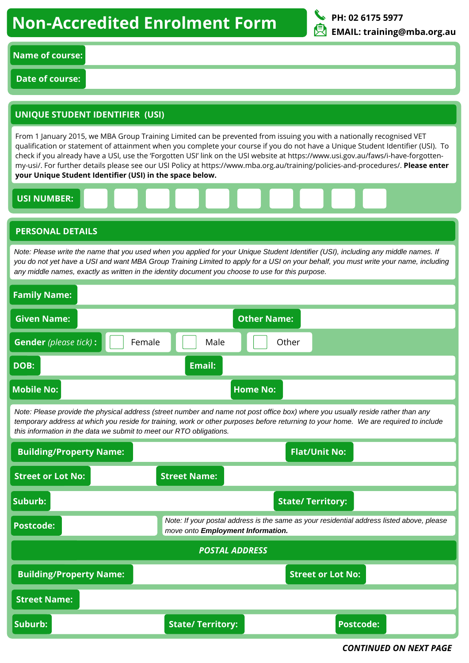# **Non-Accredited Enrolment Form**



### **Name of course:**

**Date of course:**

## **UNIQUE STUDENT IDENTIFIER (USI)**

From 1 January 2015, we MBA Group Training Limited can be prevented from issuing you with a nationally recognised VET qualification or statement of attainment when you complete your course if you do not have a Unique Student Identifier (USI). To check if you already have a USI, use the 'Forgotten USI' link on the USI website at https://www.usi.gov.au/faws/i-have-forgottenmy-usi/. For further details please see our USI Policy at https://www.mba.org.au/training/policies-and-procedures/. **Please enter your Unique Student Identifier (USI) in the space below.**

#### **USI NUMBER:**

#### **PERSONAL DETAILS**

Note: Please write the name that you used when you applied for your Unique Student Identifier (USI), including any middle names. If you do not yet have a USI and want MBA Group Training Limited to apply for a USI on your behalf, you must write your name, including *any middle names, exactly as written in the identity document you choose to use for this purpose.*

| <b>Family Name:</b>                                                                                                                                                                                                                                                                                                                            |                                                                                                                                |  |  |  |  |  |
|------------------------------------------------------------------------------------------------------------------------------------------------------------------------------------------------------------------------------------------------------------------------------------------------------------------------------------------------|--------------------------------------------------------------------------------------------------------------------------------|--|--|--|--|--|
| <b>Given Name:</b>                                                                                                                                                                                                                                                                                                                             | <b>Other Name:</b>                                                                                                             |  |  |  |  |  |
| <b>Gender</b> (please tick) :<br>Female                                                                                                                                                                                                                                                                                                        | Male<br>Other                                                                                                                  |  |  |  |  |  |
| <b>Email:</b><br>DOB:                                                                                                                                                                                                                                                                                                                          |                                                                                                                                |  |  |  |  |  |
| <b>Mobile No:</b><br><b>Home No:</b>                                                                                                                                                                                                                                                                                                           |                                                                                                                                |  |  |  |  |  |
| Note: Please provide the physical address (street number and name not post office box) where you usually reside rather than any<br>temporary address at which you reside for training, work or other purposes before returning to your home. We are required to include<br>this information in the data we submit to meet our RTO obligations. |                                                                                                                                |  |  |  |  |  |
| <b>Flat/Unit No:</b><br><b>Building/Property Name:</b>                                                                                                                                                                                                                                                                                         |                                                                                                                                |  |  |  |  |  |
| <b>Street or Lot No:</b><br><b>Street Name:</b>                                                                                                                                                                                                                                                                                                |                                                                                                                                |  |  |  |  |  |
| Suburb:<br><b>State/Territory:</b>                                                                                                                                                                                                                                                                                                             |                                                                                                                                |  |  |  |  |  |
|                                                                                                                                                                                                                                                                                                                                                | Note: If your postal address is the same as your residential address listed above, please<br>move onto Employment Information. |  |  |  |  |  |
| <b>Postcode:</b>                                                                                                                                                                                                                                                                                                                               |                                                                                                                                |  |  |  |  |  |
|                                                                                                                                                                                                                                                                                                                                                | <b>POSTAL ADDRESS</b>                                                                                                          |  |  |  |  |  |
| <b>Building/Property Name:</b>                                                                                                                                                                                                                                                                                                                 | <b>Street or Lot No:</b>                                                                                                       |  |  |  |  |  |
| <b>Street Name:</b>                                                                                                                                                                                                                                                                                                                            |                                                                                                                                |  |  |  |  |  |

*CONTINUED ON NEXT PAGE*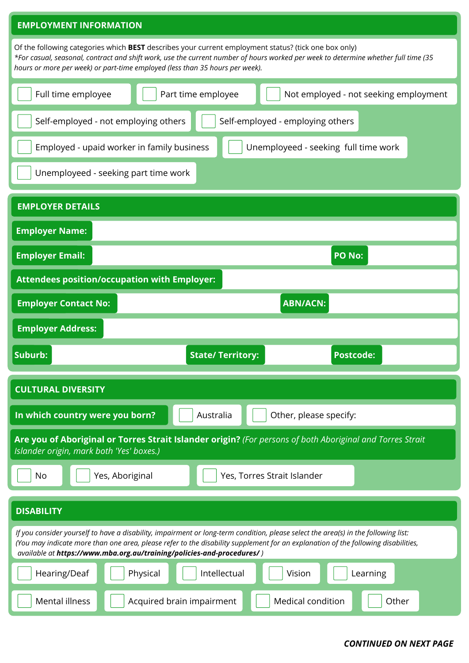#### **EMPLOYMENT INFORMATION**

Of the following categories which **BEST** describes your current employment status? (tick one box only) \*For casual, seasonal, contract and shift work, use the current number of hours worked per week to determine whether full time (35 *hours or more per week) or part-time employed (less than 35 hours per week).*

| nours or more per week) or part-unie employed (less than 35 nours per week).                                                                                                                                                                                                                                                                      |                 |                          |                             |                                       |  |  |
|---------------------------------------------------------------------------------------------------------------------------------------------------------------------------------------------------------------------------------------------------------------------------------------------------------------------------------------------------|-----------------|--------------------------|-----------------------------|---------------------------------------|--|--|
| Full time employee                                                                                                                                                                                                                                                                                                                                |                 | Part time employee       |                             | Not employed - not seeking employment |  |  |
| Self-employed - not employing others<br>Self-employed - employing others                                                                                                                                                                                                                                                                          |                 |                          |                             |                                       |  |  |
| Employed - upaid worker in family business<br>Unemployeed - seeking full time work                                                                                                                                                                                                                                                                |                 |                          |                             |                                       |  |  |
| Unemployeed - seeking part time work                                                                                                                                                                                                                                                                                                              |                 |                          |                             |                                       |  |  |
| <b>EMPLOYER DETAILS</b>                                                                                                                                                                                                                                                                                                                           |                 |                          |                             |                                       |  |  |
| <b>Employer Name:</b>                                                                                                                                                                                                                                                                                                                             |                 |                          |                             |                                       |  |  |
| <b>Employer Email:</b>                                                                                                                                                                                                                                                                                                                            |                 |                          |                             | <b>PO No:</b>                         |  |  |
| <b>Attendees position/occupation with Employer:</b>                                                                                                                                                                                                                                                                                               |                 |                          |                             |                                       |  |  |
| <b>Employer Contact No:</b>                                                                                                                                                                                                                                                                                                                       |                 |                          | <b>ABN/ACN:</b>             |                                       |  |  |
| <b>Employer Address:</b>                                                                                                                                                                                                                                                                                                                          |                 |                          |                             |                                       |  |  |
|                                                                                                                                                                                                                                                                                                                                                   |                 |                          |                             |                                       |  |  |
| Suburb:                                                                                                                                                                                                                                                                                                                                           |                 | <b>State/ Territory:</b> |                             | <b>Postcode:</b>                      |  |  |
| <b>CULTURAL DIVERSITY</b>                                                                                                                                                                                                                                                                                                                         |                 |                          |                             |                                       |  |  |
| In which country were you born?                                                                                                                                                                                                                                                                                                                   |                 | Australia                | Other, please specify:      |                                       |  |  |
| Are you of Aboriginal or Torres Strait Islander origin? (For persons of both Aboriginal and Torres Strait<br>Islander origin, mark both 'Yes' boxes.)                                                                                                                                                                                             |                 |                          |                             |                                       |  |  |
| <b>No</b>                                                                                                                                                                                                                                                                                                                                         | Yes, Aboriginal |                          | Yes, Torres Strait Islander |                                       |  |  |
| <b>DISABILITY</b>                                                                                                                                                                                                                                                                                                                                 |                 |                          |                             |                                       |  |  |
| If you consider yourself to have a disability, impairment or long-term condition, please select the area(s) in the following list:<br>(You may indicate more than one area, please refer to the disability supplement for an explanation of the following disabilities,<br>available at https://www.mba.org.au/training/policies-and-procedures/) |                 |                          |                             |                                       |  |  |
| Hearing/Deaf                                                                                                                                                                                                                                                                                                                                      | Physical        | Intellectual             | Vision                      | Learning                              |  |  |

#### *CONTINUED ON NEXT PAGE*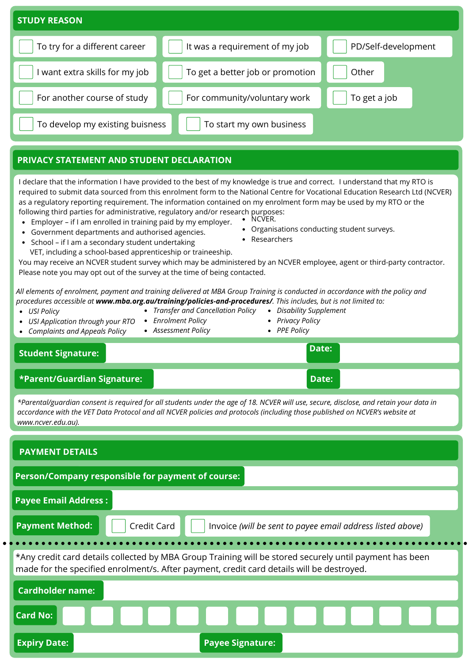| <b>STUDY REASON</b>             |                                  |                     |  |  |  |  |  |
|---------------------------------|----------------------------------|---------------------|--|--|--|--|--|
| To try for a different career   | It was a requirement of my job   | PD/Self-development |  |  |  |  |  |
| want extra skills for my job    | To get a better job or promotion | Other               |  |  |  |  |  |
| For another course of study     | For community/voluntary work     | To get a job        |  |  |  |  |  |
| To develop my existing buisness | To start my own business         |                     |  |  |  |  |  |

### **PRIVACY STATEMENT AND STUDENT DECLARATION**

I declare that the information I have provided to the best of my knowledge is true and correct. I understand that my RTO is required to submit data sourced from this enrolment form to the National Centre for Vocational Education Research Ltd (NCVER) as a regulatory reporting requirement. The information contained on my enrolment form may be used by my RTO or the following third parties for administrative, regulatory and/or research purposes:

- Employer if I am enrolled in training paid by my employer. • NCVER.
- Government departments and authorised agencies.
- School if I am a secondary student undertaking
- VET, including a school-based apprenticeship or traineeship.

You may receive an NCVER student survey which may be administered by an NCVER employee, agent or third-party contractor. Please note you may opt out of the survey at the time of being contacted.

All elements of enrolment, payment and training delivered at MBA Group Training is conducted in accordance with the policy and *procedures accessible at www.mba.org.au/training/policies-and-procedures/. This includes, but is not limited to:*

*USI Policy*

- *Transfer and Cancellation Policy*
- *USI Application through your RTO*
- *Enrolment Policy Disability Supplement*
- *Complaints and Appeals Policy Assessment Policy*
- *Privacy Policy PPE Policy*

# **Date: Student Signature:**

#### **\*Parent/Guardian Signature: Date:**

\*Parental/guardian consent is required for all students under the age of 18. NCVER will use, secure, disclose, and retain your data in accordance with the VET Data Protocol and all NCVER policies and protocols (including those published on NCVER's website at *www.ncver.edu.au).*

| <b>PAYMENT DETAILS</b>                                                                                                                                                                               |  |  |  |  |  |
|------------------------------------------------------------------------------------------------------------------------------------------------------------------------------------------------------|--|--|--|--|--|
| Person/Company responsible for payment of course:                                                                                                                                                    |  |  |  |  |  |
| <b>Payee Email Address:</b>                                                                                                                                                                          |  |  |  |  |  |
| <b>Payment Method:</b><br>Credit Card<br>Invoice (will be sent to payee email address listed above)                                                                                                  |  |  |  |  |  |
| *Any credit card details collected by MBA Group Training will be stored securely until payment has been<br>made for the specified enrolment/s. After payment, credit card details will be destroyed. |  |  |  |  |  |
| <b>Cardholder name:</b>                                                                                                                                                                              |  |  |  |  |  |
| <b>Card No:</b><br>.                                                                                                                                                                                 |  |  |  |  |  |
| <b>Payee Signature:</b><br><b>Expiry Date:</b>                                                                                                                                                       |  |  |  |  |  |

- Organisations conducting student surveys.
- Researchers